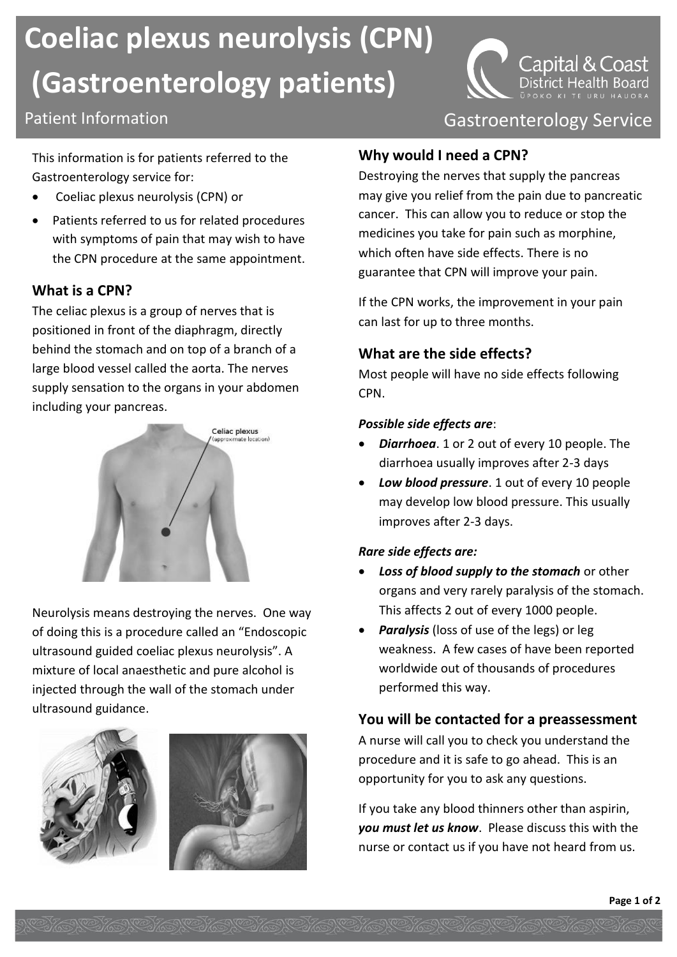# **Coeliac plexus neurolysis (CPN) (Gastroenterology patients)**

# Patient Information **Contract Contract Contract Contract Contract Contract Contract Contract Contract Contract Contract Contract Contract Contract Contract Contract Contract Contract Contract Contract Contract Contract Con**

This information is for patients referred to the Gastroenterology service for:

- Coeliac plexus neurolysis (CPN) or
- Patients referred to us for related procedures with symptoms of pain that may wish to have the CPN procedure at the same appointment.

#### **What is a CPN?**

The celiac plexus is a group of nerves that is positioned in front of the diaphragm, directly behind the stomach and on top of a branch of a large blood vessel called the aorta. The nerves supply sensation to the organs in your abdomen including your pancreas.



Neurolysis means destroying the nerves. One way of doing this is a procedure called an "Endoscopic ultrasound guided coeliac plexus neurolysis". A mixture of local anaesthetic and pure alcohol is injected through the wall of the stomach under ultrasound guidance.





# **Why would I need a CPN?**

Destroying the nerves that supply the pancreas may give you relief from the pain due to pancreatic cancer. This can allow you to reduce or stop the medicines you take for pain such as morphine, which often have side effects. There is no guarantee that CPN will improve your pain.

If the CPN works, the improvement in your pain can last for up to three months.

#### **What are the side effects?**

Most people will have no side effects following CPN.

#### *Possible side effects are*:

- *Diarrhoea*. 1 or 2 out of every 10 people. The diarrhoea usually improves after 2-3 days
- *Low blood pressure*. 1 out of every 10 people may develop low blood pressure. This usually improves after 2-3 days.

#### *Rare side effects are:*

- *Loss of blood supply to the stomach* or other organs and very rarely paralysis of the stomach. This affects 2 out of every 1000 people.
- *Paralysis* (loss of use of the legs) or leg weakness. A few cases of have been reported worldwide out of thousands of procedures performed this way.

#### **You will be contacted for a preassessment**

A nurse will call you to check you understand the procedure and it is safe to go ahead. This is an opportunity for you to ask any questions.

If you take any blood thinners other than aspirin, *you must let us know*. Please discuss this with the nurse or contact us if you have not heard from us.